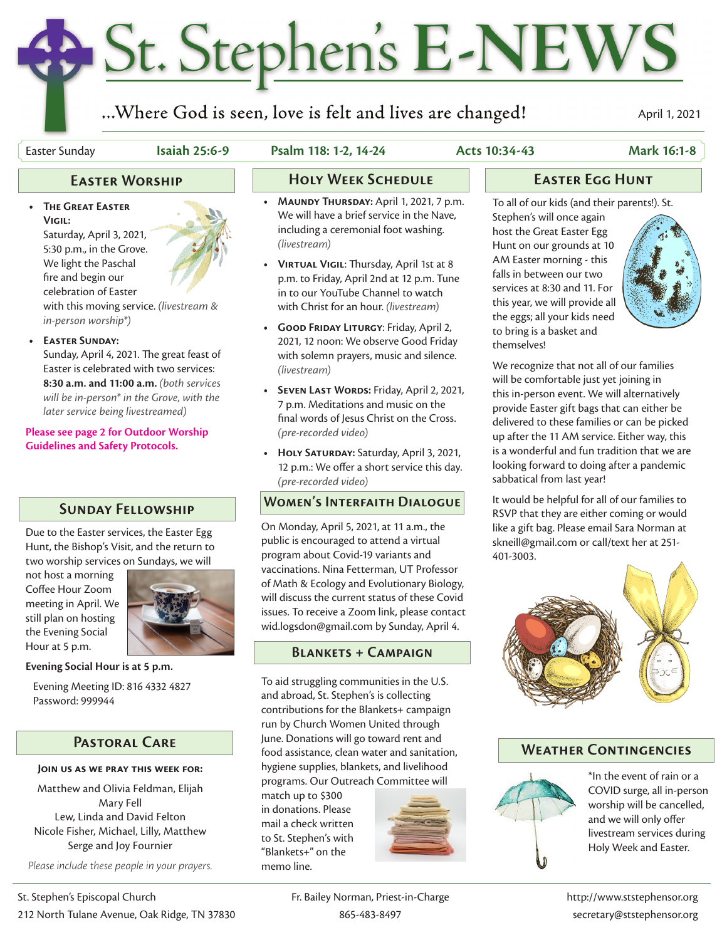# St. Stephen's E-NEWS

...Where God is seen, love is felt and lives are changed!

April 1, 2021

**Vigil:**

**• The Great Easter** 

Saturday, April 3, 2021, 5:30 p.m., in the Grove. We light the Paschal

# Easter Sunday **Isaiah 25:6-9 Psalm 118: 1-2, 14-24 Acts 10:34-43 Mark 16:1-8**

- **• Maundy Thursday:** April 1, 2021, 7 p.m. We will have a brief service in the Nave, including a ceremonial foot washing. *(livestream)*
- **• Virtual Vigil**: Thursday, April 1st at 8 p.m. to Friday, April 2nd at 12 p.m. Tune in to our YouTube Channel to watch with Christ for an hour. *(livestream)*
- **• Good Friday Liturgy**: Friday, April 2, 2021, 12 noon: We observe Good Friday with solemn prayers, music and silence. *(livestream)*
- **• Seven Last Words:** Friday, April 2, 2021, 7 p.m. Meditations and music on the final words of Jesus Christ on the Cross. *(pre-recorded video)*
- **• Holy Saturday:** Saturday, April 3, 2021, 12 p.m.: We offer a short service this day. *(pre-recorded video)*

## **Women's Interfaith Dialogue**

On Monday, April 5, 2021, at 11 a.m., the public is encouraged to attend a virtual program about Covid-19 variants and vaccinations. Nina Fetterman, UT Professor of Math & Ecology and Evolutionary Biology, will discuss the current status of these Covid issues. To receive a Zoom link, please contact wid.logsdon@gmail.com by Sunday, April 4.

# **Blankets + Campaign**

To aid struggling communities in the U.S. and abroad, St. Stephen's is collecting contributions for the Blankets+ campaign run by Church Women United through June. Donations will go toward rent and food assistance, clean water and sanitation, hygiene supplies, blankets, and livelihood programs. Our Outreach Committee will

match up to \$300 in donations. Please mail a check written to St. Stephen's with "Blankets+" on the memo line.



# **Holy Week Schedule Easter Egg Hunt**

To all of our kids (and their parents!). St.

Stephen's will once again host the Great Easter Egg Hunt on our grounds at 10 AM Easter morning - this falls in between our two services at 8:30 and 11. For this year, we will provide all the eggs; all your kids need to bring is a basket and themselves!



We recognize that not all of our families will be comfortable just yet joining in this in-person event. We will alternatively provide Easter gift bags that can either be delivered to these families or can be picked up after the 11 AM service. Either way, this is a wonderful and fun tradition that we are looking forward to doing after a pandemic sabbatical from last year!

It would be helpful for all of our families to RSVP that they are either coming or would like a gift bag. Please email Sara Norman at skneill@gmail.com or call/text her at 251- 401-3003.



## **Weather Contingencies**

\*In the event of rain or a COVID surge, all in-person worship will be cancelled, and we will only offer livestream services during Holy Week and Easter.



**Evening Social Hour is at 5 p.m.**

 Evening Meeting ID: 816 4332 4827 Password: 999944

# **Pastoral Care**

### **Join us as we pray this week for:**

Matthew and Olivia Feldman, Elijah Mary Fell Lew, Linda and David Felton Nicole Fisher, Michael, Lilly, Matthew Serge and Joy Fournier

*Please include these people in your prayers.*



fire and begin our celebration of Easter with this moving service. *(livestream & in-person worship\*)*

**• Easter Sunday:**

Sunday, April 4, 2021. The great feast of Easter is celebrated with two services: **8:30 a.m. and 11:00 a.m.** *(both services will be in-person\* in the Grove, with the later service being livestreamed)*

### **Please see page 2 for Outdoor Worship Guidelines and Safety Protocols.**

# **Sunday Fellowship**

Due to the Easter services, the Easter Egg Hunt, the Bishop's Visit, and the return to two worship services on Sundays, we will

not host a morning Coffee Hour Zoom meeting in April. We still plan on hosting the Evening Social Hour at 5 p.m.